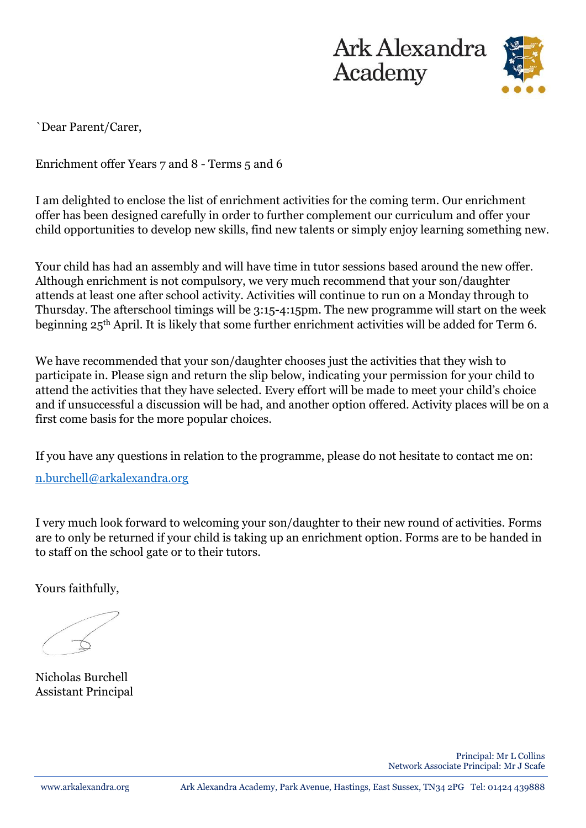



`Dear Parent/Carer,

Enrichment offer Years 7 and 8 - Terms 5 and 6

I am delighted to enclose the list of enrichment activities for the coming term. Our enrichment offer has been designed carefully in order to further complement our curriculum and offer your child opportunities to develop new skills, find new talents or simply enjoy learning something new.

Your child has had an assembly and will have time in tutor sessions based around the new offer. Although enrichment is not compulsory, we very much recommend that your son/daughter attends at least one after school activity. Activities will continue to run on a Monday through to Thursday. The afterschool timings will be 3:15-4:15pm. The new programme will start on the week beginning 25th April. It is likely that some further enrichment activities will be added for Term 6.

We have recommended that your son/daughter chooses just the activities that they wish to participate in. Please sign and return the slip below, indicating your permission for your child to attend the activities that they have selected. Every effort will be made to meet your child's choice and if unsuccessful a discussion will be had, and another option offered. Activity places will be on a first come basis for the more popular choices.

If you have any questions in relation to the programme, please do not hesitate to contact me on:

[n.burchell@arkalexandra.org](mailto:n.burchell@arkalexandra.org)

I very much look forward to welcoming your son/daughter to their new round of activities. Forms are to only be returned if your child is taking up an enrichment option. Forms are to be handed in to staff on the school gate or to their tutors.

Yours faithfully,

Nicholas Burchell Assistant Principal

Principal: Mr L Collins Network Associate Principal: Mr J Scafe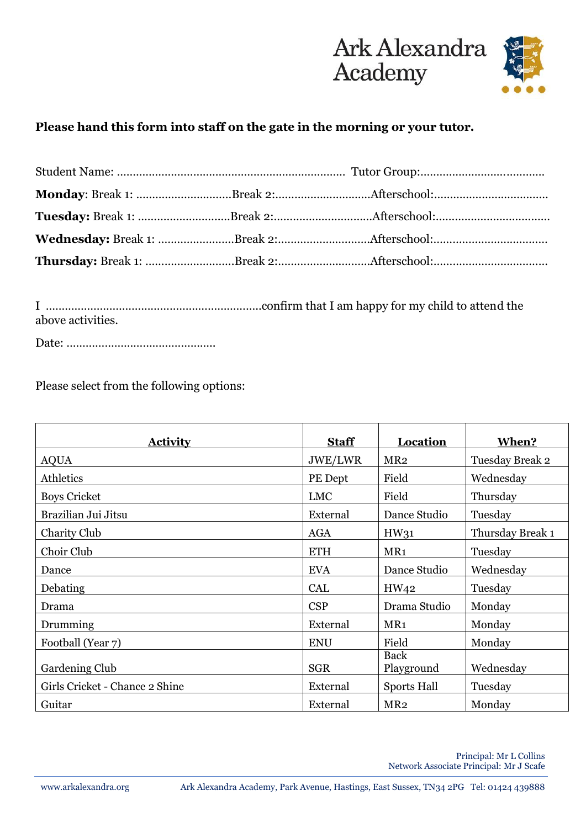

## **Please hand this form into staff on the gate in the morning or your tutor.**

I …………………………………………………………..confirm that I am happy for my child to attend the above activities.

Date: ………………………………………..

Please select from the following options:

| <b>Activity</b>                | <b>Staff</b> | <b>Location</b>           | When?            |
|--------------------------------|--------------|---------------------------|------------------|
| <b>AQUA</b>                    | JWE/LWR      | MR <sub>2</sub>           | Tuesday Break 2  |
| <b>Athletics</b>               | PE Dept      | Field                     | Wednesday        |
| <b>Boys Cricket</b>            | <b>LMC</b>   | Field                     | Thursday         |
| Brazilian Jui Jitsu            | External     | Dance Studio              | Tuesday          |
| Charity Club                   | <b>AGA</b>   | HW31                      | Thursday Break 1 |
| Choir Club                     | <b>ETH</b>   | MR1                       | Tuesday          |
| Dance                          | <b>EVA</b>   | Dance Studio              | Wednesday        |
| Debating                       | <b>CAL</b>   | HW <sub>42</sub>          | Tuesday          |
| Drama                          | <b>CSP</b>   | Drama Studio              | Monday           |
| Drumming                       | External     | MR <sub>1</sub>           | Monday           |
| Football (Year 7)              | <b>ENU</b>   | Field                     | Monday           |
| Gardening Club                 | <b>SGR</b>   | <b>Back</b><br>Playground | Wednesday        |
| Girls Cricket - Chance 2 Shine | External     | Sports Hall               | Tuesday          |
| Guitar                         | External     | MR <sub>2</sub>           | Monday           |